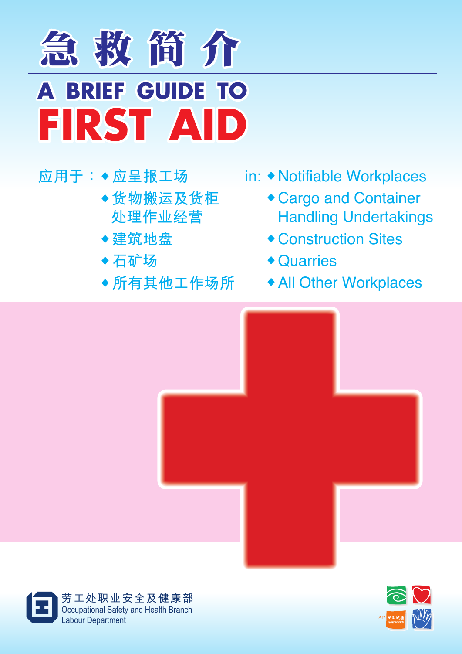

# **應用於: ◆ 應呈報工場**

- **◆货物搬运及货柜 处理作业经营**
- **◆建筑地盘**
- **◆ 石矿场**
- **◆ 所有其他工作場所**
- in: **◆** Notifiable Workplaces
	- **◆** Cargo and Container **Handling Undertakings**
	- **◆** Construction Sites
	- **◆** Quarries
	- **◆** All Other Workplaces





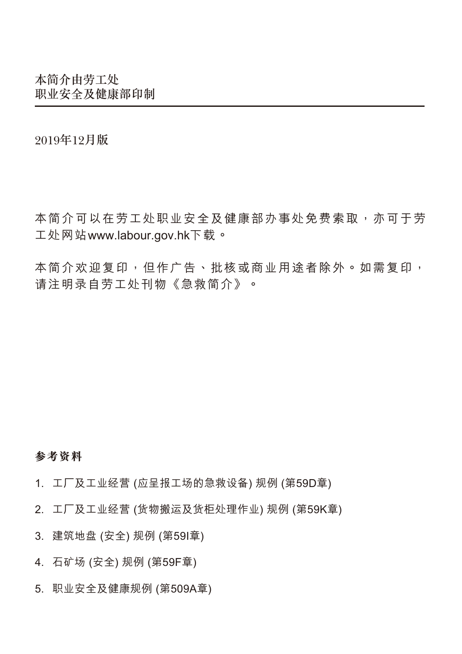2019年12月版

本简介可以在劳工处职业安全及健康部办事处免费索取,亦可干劳 工處網站www.labour.gov.hk下載。

本简介欢迎复印,但作广告、批核或商业用途者除外。如需复印, 請註明錄自勞工處刊物《急救簡介》。

#### **參考資料**

- 1. 工厂及工业经营 (应呈报工场的急救设备) 规例 (第59D章)
- 2. 工厂及工业经营 (货物搬运及货柜处理作业) 规例 (第59K章)
- 3. 建築地盤 (安全) 規例 (第59I章)
- 4. 石礦場 (安全) 規例 (第59F章)
- 5. 职业安全及健康规例 (第509A章)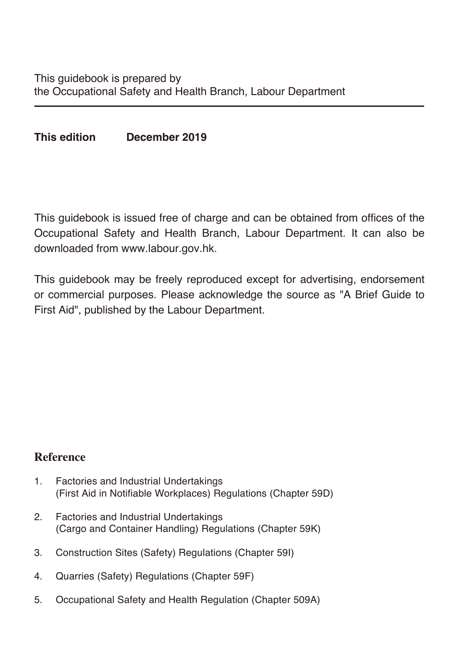**This edition December 2019**

This guidebook is issued free of charge and can be obtained from offices of the Occupational Safety and Health Branch, Labour Department. It can also be downloaded from www.labour.gov.hk.

This guidebook may be freely reproduced except for advertising, endorsement or commercial purposes. Please acknowledge the source as "A Brief Guide to First Aid", published by the Labour Department.

### **Reference**

- 1. Factories and Industrial Undertakings (First Aid in Notifiable Workplaces) Regulations (Chapter 59D)
- 2. Factories and Industrial Undertakings (Cargo and Container Handling) Regulations (Chapter 59K)
- 3. Construction Sites (Safety) Regulations (Chapter 59I)
- 4. Quarries (Safety) Regulations (Chapter 59F)
- 5. Occupational Safety and Health Regulation (Chapter 509A)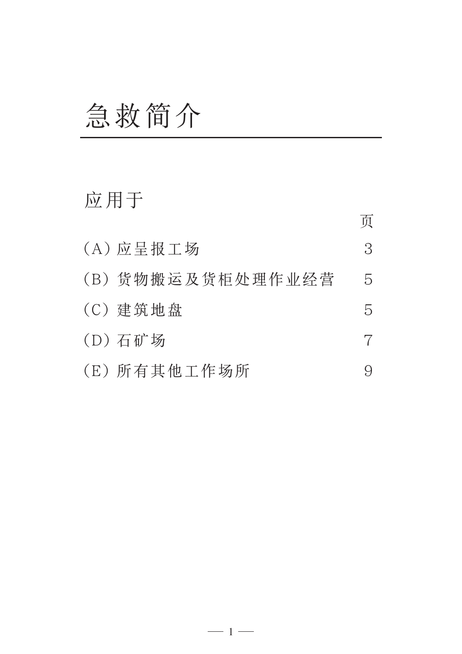# 急救簡介

# 应用于

|                   | 页             |
|-------------------|---------------|
| (A) 应呈报工场         | 3             |
| (B) 货物搬运及货柜处理作业经营 | $\mathcal{L}$ |
| (C) 建筑地盘          | 5.            |
| (D) 石矿场           |               |
| (E) 所有其他工作场所      |               |

 $-1-$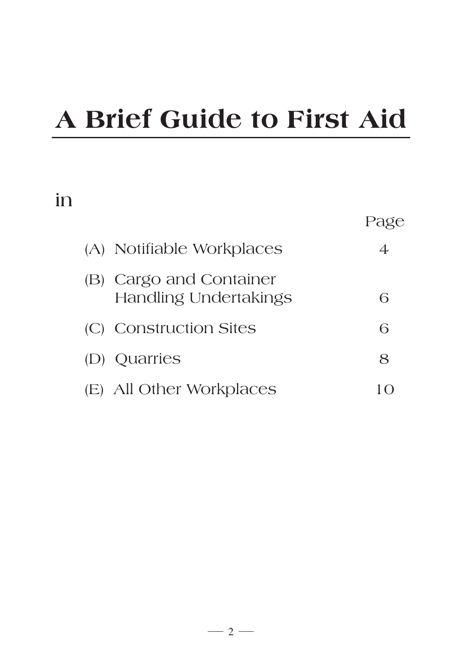# **A Brief Guide to First Aid**

# **in**

| (A) Notifiable Workplaces                               | 4 |
|---------------------------------------------------------|---|
| (B) Cargo and Container<br><b>Handling Undertakings</b> | 6 |
| (C) Construction Sites                                  | 6 |
| (D) Quarries                                            | 8 |
| (E) All Other Workplaces                                |   |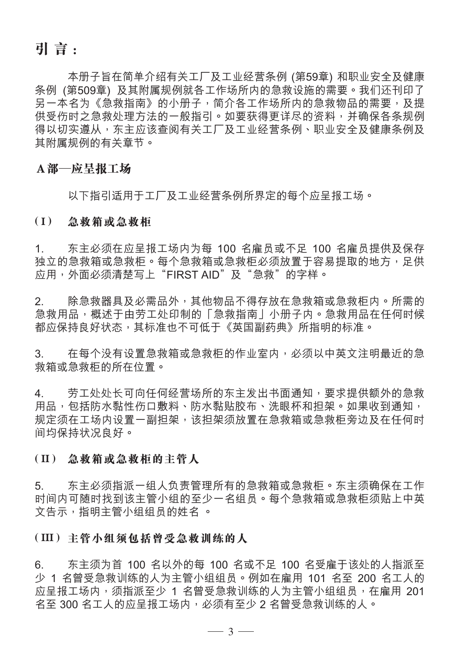**引 言 :**

本册子旨在简单介绍有关工厂及工业经营条例 (第59章) 和职业安全及健康 条例 (第509章) 及其附属规例就各工作场所内的急救设施的需要。我们还刊印了 另一本名为《急救指南》的小册子,简介各工作场所内的急救物品的需要,及提 供受伤时之急救处理方法的一般指引。如要获得更详尽的资料,并确保各条规例 得以切实遵从, 东主应该查阅有关工厂及工业经营条例、职业安全及健康条例及 其附属规例的有关章节。

#### **A部—應呈報工場**

以下指引适用于工厂及工业经营条例所界定的每个应呈报工场。

#### **( I ) 急救箱或急救櫃**

1. 东主必须在应呈报工场内为每 100 名雇员或不足 100 名雇员提供及保存 独立的急救箱或急救箱或急救柜必须放置干容易提取的地方,足供 應用,外面必須清楚寫上"FIRST AID"及"急救"的字樣。

2. 除急救器具及必需品外,其他物品不得存放在急救箱或急救柜内。所需的 急救用品,概述于由劳工处印制的「急救指南」小册子内。急救用品在任何时候 都应保持良好状态,其标准也不可低于《英国副药典》所指明的标准。

3. 在每个没有设置急救箱或急救柜的作业室内,必须以中英文注明最近的急 救箱或急救櫃的所在位置。

4. 劳工处处长可向任何经营场所的东主发出书面通知,要求提供额外的急救 用品,包括防水黏性伤口敷料、防水黏贴胶布、洗眼杯和担架。如果收到通知, 规定须在工场内设置一副担架,该担架须放置在急救箱或急救柜旁边及在任何时 間均保持狀況良好。

#### **( II ) 急救箱或急救櫃的主管人**

5. 东主必须指派一组人负责管理所有的急救箱或急救柜。东主须确保在工作 时间内可随时找到该主管小组的至少一名组员。每个急救箱或急救柜须贴上中英 文告示,指明主管小組組員的姓名 。

#### **( III ) 主管小組須包括曾受急救訓練的人**

6. 东主须为首 100 名以外的每 100 名或不足 100 名受雇干该处的人指派至 少 1 名曾受急救訓練的人為主管小組組員。例如在僱用 101 名至 200 名工人的 应呈报工场内,须指派至少 1 名曾受急救训练的人为主管小组组员,在雇用 201 名至 300 名工人的应呈报工场内,必须有至少 2 名曾受急救训练的人。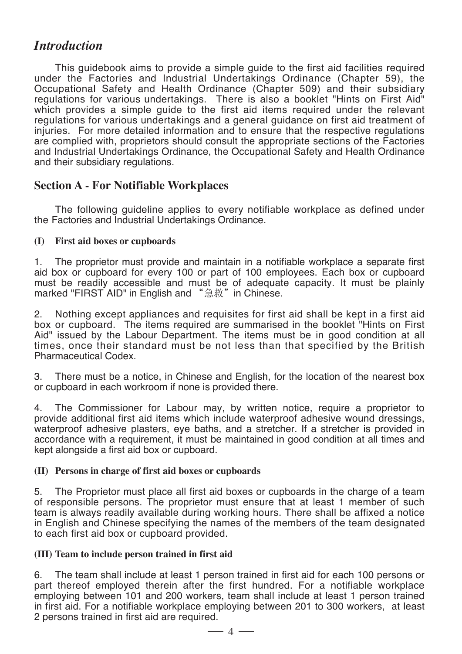### *Introduction*

This guidebook aims to provide a simple guide to the first aid facilities required under the Factories and Industrial Undertakings Ordinance (Chapter 59), the Occupational Safety and Health Ordinance (Chapter 509) and their subsidiary regulations for various undertakings. There is also a booklet "Hints on First Aid" which provides a simple quide to the first aid items required under the relevant regulations for various undertakings and a general guidance on first aid treatment of injuries. For more detailed information and to ensure that the respective regulations are complied with, proprietors should consult the appropriate sections of the Factories and Industrial Undertakings Ordinance, the Occupational Safety and Health Ordinance and their subsidiary regulations.

#### **Section A - For Notifiable Workplaces**

 The following guideline applies to every notifiable workplace as defined under the Factories and Industrial Undertakings Ordinance.

#### **(I) First aid boxes or cupboards**

1. The proprietor must provide and maintain in a notifiable workplace a separate first aid box or cupboard for every 100 or part of 100 employees. Each box or cupboard must be readily accessible and must be of adequate capacity. It must be plainly marked "FIRST AID" in English and "急救" in Chinese.

2. Nothing except appliances and requisites for first aid shall be kept in a first aid box or cupboard. The items required are summarised in the booklet "Hints on First Aid" issued by the Labour Department. The items must be in good condition at all times, once their standard must be not less than that specified by the British Pharmaceutical Codex.

3. There must be a notice, in Chinese and English, for the location of the nearest box or cupboard in each workroom if none is provided there.

4. The Commissioner for Labour may, by written notice, require a proprietor to provide additional first aid items which include waterproof adhesive wound dressings, waterproof adhesive plasters, eye baths, and a stretcher. If a stretcher is provided in accordance with a requirement, it must be maintained in good condition at all times and kept alongside a first aid box or cupboard.

#### **(II) Persons in charge of first aid boxes or cupboards**

5. The Proprietor must place all first aid boxes or cupboards in the charge of a team of responsible persons. The proprietor must ensure that at least 1 member of such team is always readily available during working hours. There shall be affixed a notice in English and Chinese specifying the names of the members of the team designated to each first aid box or cupboard provided.

#### **(III) Team to include person trained in first aid**

6. The team shall include at least 1 person trained in first aid for each 100 persons or part thereof employed therein after the first hundred. For a notifiable workplace employing between 101 and 200 workers, team shall include at least 1 person trained in first aid. For a notifiable workplace employing between 201 to 300 workers, at least 2 persons trained in first aid are required.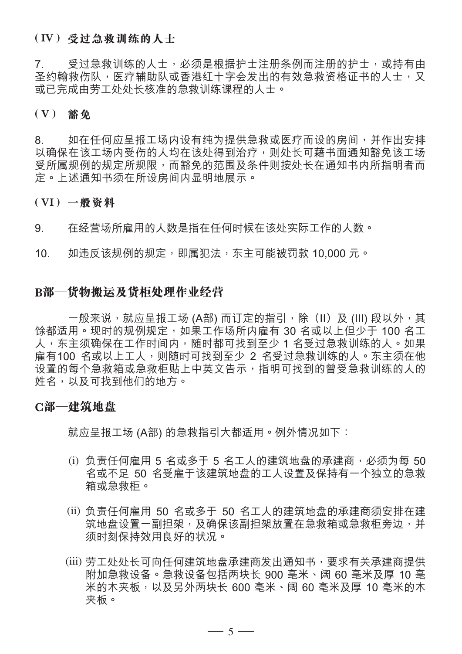#### **( IV ) 受過急救訓練的人士**

7. 受过急救训练的人士,必须是根据护士注册条例而注册的护士,或持有由 圣约翰救伤队,医疗辅助队或香港红十字会发出的有效急救资格证书的人士,又 或已完成由劳工处处长核准的急救训练课程的人士。

#### **( V ) 豁免**

8. 如在任何应呈报工场内设有纯为提供急救或医疗而设的房间,并作出安排 以确保在该工场内受伤的人均在该处得到治疗,则处长可藉书面通知豁免该工场 受所属规例的规定所规限,而豁免的范围及条件则按处长在通知书内所指明者而 定。上述通知书须在所设房间内显明地展示。

#### **( VI ) 一般資料**

9. 在经营场所雇用的人数是指在任何时候在该处实际工作的人数。

10. 如违反该规例的规定,即属犯法,东主可能被罚款 10.000 元。

#### **B部—貨物搬运及貨柜处理作业经营**

一般来说,就应呈报工场 (A部) 而订定的指引,除(II)及 (III) 段以外,其 馀都适用。现时的规例规定,如果工作场所内雇有 30 名或以上但少于 100 名工 人,东主须确保在工作时间内,随时都可找到至少 1 名受过急救训练的人。如果 雇有100 名或以上工人,则随时可找到至少 2 名受过急救训练的人。东主须在他 设置的每个急救箱或急救柜贴上中英文告示,指明可找到的曾受急救训练的人的 姓名,以及可找到他們的地方。

#### **C部—建築地盤**

就应呈报工场 (A部) 的急救指引大都适用。例外情况如下:

- (i) 负责任何雇用 5 名或多干 5 名工人的建筑地盘的承建商,必须为每 50 名或不足 50 名受雇干该建筑地盘的工人设置及保持有一个独立的急救 箱或急救柜。
- (ii) 负责任何雇用 50 名或多干 50 名工人的建筑地盘的承建商须安排在建 筑地盘设置一副担架,及确保该副担架放置在急救箱或急救柜旁边,并 須時刻保持效用良好的狀況。
- (iii) 劳工处处长可向任何建筑地盘承建商发出通知书,要求有关承建商提供 附加急救設備。急救設備包括兩塊長 900 亳米、闊 60 亳米及厚 10 亳 米的木夾板,以及另外兩塊長 600 亳米、闊 60 亳米及厚 10 亳米的木 夾板。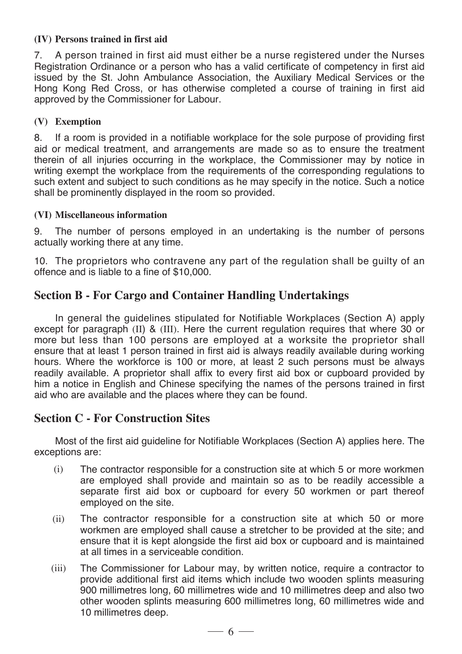#### **(IV) Persons trained in first aid**

7. A person trained in first aid must either be a nurse registered under the Nurses Registration Ordinance or a person who has a valid certificate of competency in first aid issued by the St. John Ambulance Association, the Auxiliary Medical Services or the Hong Kong Red Cross, or has otherwise completed a course of training in first aid approved by the Commissioner for Labour.

#### **(V) Exemption**

8. If a room is provided in a notifiable workplace for the sole purpose of providing first aid or medical treatment, and arrangements are made so as to ensure the treatment therein of all injuries occurring in the workplace, the Commissioner may by notice in writing exempt the workplace from the requirements of the corresponding regulations to such extent and subject to such conditions as he may specify in the notice. Such a notice shall be prominently displayed in the room so provided.

#### **(VI) Miscellaneous information**

9. The number of persons employed in an undertaking is the number of persons actually working there at any time.

10. The proprietors who contravene any part of the regulation shall be guilty of an offence and is liable to a fine of \$10,000.

#### **Section B - For Cargo and Container Handling Undertakings**

In general the guidelines stipulated for Notifiable Workplaces (Section A) apply except for paragraph (II) & (III). Here the current regulation requires that where 30 or more but less than 100 persons are employed at a worksite the proprietor shall ensure that at least 1 person trained in first aid is always readily available during working hours. Where the workforce is 100 or more, at least 2 such persons must be always readily available. A proprietor shall affix to every first aid box or cupboard provided by him a notice in English and Chinese specifying the names of the persons trained in first aid who are available and the places where they can be found.

#### **Section C - For Construction Sites**

Most of the first aid guideline for Notifiable Workplaces (Section A) applies here. The exceptions are:

- (i) The contractor responsible for a construction site at which 5 or more workmen are employed shall provide and maintain so as to be readily accessible a separate first aid box or cupboard for every 50 workmen or part thereof employed on the site.
- (ii) The contractor responsible for a construction site at which 50 or more workmen are employed shall cause a stretcher to be provided at the site; and ensure that it is kept alongside the first aid box or cupboard and is maintained at all times in a serviceable condition.
- (iii) The Commissioner for Labour may, by written notice, require a contractor to provide additional first aid items which include two wooden splints measuring 900 millimetres long, 60 millimetres wide and 10 millimetres deep and also two other wooden splints measuring 600 millimetres long, 60 millimetres wide and 10 millimetres deep.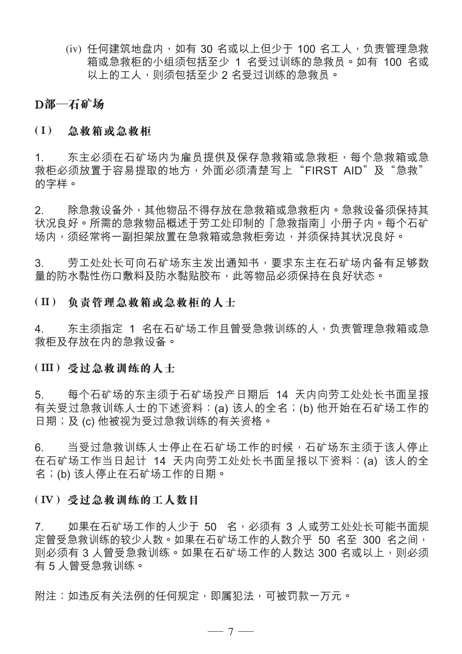(iv) 任何建筑地盘内, 如有 30 名或以上但少于 100 名工人, 负责管理急救 箱或急救柜的小组须包括至少 1 名受过训练的急救员。如有 100 名或 以上的工人,则须包括至少2名受过训练的急救员。

#### **D部—石礦場**

#### **( I ) 急救箱或急救櫃**

1. 东主必须在石矿场内为雇员提供及保存急救箱或急救柜,每个急救箱或急 救柜必须放置干容易提取的地方,外面必须清楚写上"FIRST AID"及"急救" 的字樣。

2. 除急救设备外,其他物品不得存放在急救箱或急救柜内。急救设备须保持其 状况良好。所需的急救物品概述于劳工处印制的「急救指南」小册子内。每个石矿 场内,须经常将一副担架放置在急救箱或急救柜旁边,并须保持其状况良好。

3. 劳工处处长可向石矿场东主发出通知书,要求东主在石矿场内备有足够数 量的防水黏性伤口敷料及防水黏贴胶布,此等物品必须保持在良好状态。

#### **( II ) 負責管理急救箱或急救櫃的人士**

4. 东主须指定 1 名在石矿场工作且曾受急救训练的人,负责管理急救箱或急 救柜及存放在内的急救设备。

#### **( III ) 受過急救訓練的人士**

5. 每个石矿场的东主须干石矿场投产日期后 14 天内向劳工处处长书面呈报 有关受过急救训练人士的下述资料:(a) 该人的全名;(b) 他开始在石矿场工作的 日期;及 (c) 他被视为受讨急救训练的有关资格。

6. 当受过急救训练人士停止在石矿场工作的时候,石矿场东主须干该人停止 在石礦場工作當日起計 14 天內向勞工處處長書面呈報以下資料:(a) 該人的全 名;(b) 該人停止在石礦場工作的日期。

#### **( IV ) 受過急救訓練的工人數目**

7. 如果在石矿场工作的人少于 50 名,必须有 3 人或劳工处处长可能书面规 定曾受急救訓練的較少人數。如果在石礦場工作的人數介乎 50 名至 300 名之間, 则必须有 3 人曾受急救训练。如果在石矿场工作的人数达 300 名或以上,则必须 有 5 人曾受急救訓練。

附注:如违反有关法例的任何规定,即属犯法,可被罚款一万元。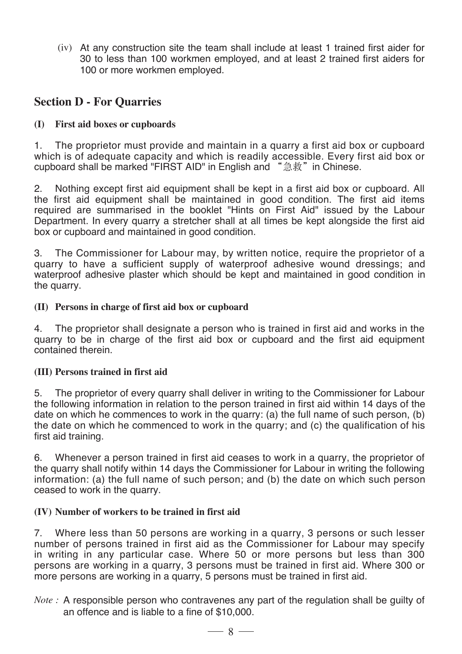(iv) At any construction site the team shall include at least 1 trained first aider for 30 to less than 100 workmen employed, and at least 2 trained first aiders for 100 or more workmen employed.

#### **Section D - For Quarries**

#### **(I) First aid boxes or cupboards**

1. The proprietor must provide and maintain in a quarry a first aid box or cupboard which is of adequate capacity and which is readily accessible. Every first aid box or cupboard shall be marked "FIRST AID" in English and "急救" in Chinese.

2. Nothing except first aid equipment shall be kept in a first aid box or cupboard. All the first aid equipment shall be maintained in good condition. The first aid items required are summarised in the booklet "Hints on First Aid" issued by the Labour Department. In every quarry a stretcher shall at all times be kept alongside the first aid box or cupboard and maintained in good condition.

3. The Commissioner for Labour may, by written notice, require the proprietor of a quarry to have a sufficient supply of waterproof adhesive wound dressings; and waterproof adhesive plaster which should be kept and maintained in good condition in the quarry.

#### **(II) Persons in charge of first aid box or cupboard**

4. The proprietor shall designate a person who is trained in first aid and works in the quarry to be in charge of the first aid box or cupboard and the first aid equipment contained therein.

#### **(III) Persons trained in first aid**

5. The proprietor of every quarry shall deliver in writing to the Commissioner for Labour the following information in relation to the person trained in first aid within 14 days of the date on which he commences to work in the quarry: (a) the full name of such person, (b) the date on which he commenced to work in the quarry; and (c) the qualification of his first aid training.

6. Whenever a person trained in first aid ceases to work in a quarry, the proprietor of the quarry shall notify within 14 days the Commissioner for Labour in writing the following information: (a) the full name of such person; and (b) the date on which such person ceased to work in the quarry.

#### **(IV) Number of workers to be trained in first aid**

7. Where less than 50 persons are working in a quarry, 3 persons or such lesser number of persons trained in first aid as the Commissioner for Labour may specify in writing in any particular case. Where 50 or more persons but less than 300 persons are working in a quarry, 3 persons must be trained in first aid. Where 300 or more persons are working in a quarry, 5 persons must be trained in first aid.

*Note :* A responsible person who contravenes any part of the regulation shall be guilty of an offence and is liable to a fine of \$10,000.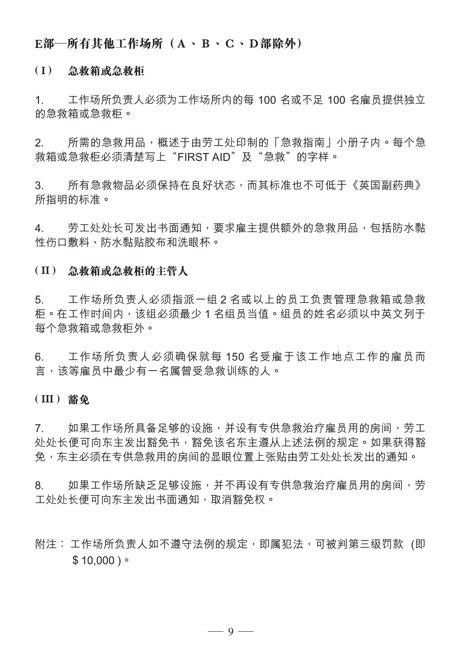#### **E部—所有其他工作場所(A、B、C、D部除外)**

#### **( I ) 急救箱或急救櫃**

1. 工作場所負責人必須為工作場所內的每 100 名或不足 100 名僱員提供獨立 的急救箱或急救柜。

2. 所需的急救用品,概述于由劳工外印制的「急救指南」小册子内。每个急 救箱或急救櫃必須清楚寫上"FIRST AID"及"急救"的字樣。

3. 所有急救物品必须保持在良好状态,而其标准也不可低于《英国副药典》 所指明的標準。

4. 劳工处外长可发出书面通知,要求雇主提供额外的急救用品,包括防水黏 性傷口敷料、防水黏貼膠布和洗眼杯。

#### **( II ) 急救箱或急救櫃的主管人**

5. 工作場所負責人必須指派一組 2 名或以上的員工負責管理急救箱或急救 柜。在工作时间内,该组必须最少 1 名组员当值。组员的姓名必须以中英文列干 每个急救箱或急救柜外。

6. 工作場所負責人必須確保就每 150 名受僱於該工作地點工作的僱員而 言,该等雇员中最少有一名属曾受急救训练的人。

#### **( III ) 豁免**

7. 如果工作场所具备足够的设施,并设有专供急救治疗雇员用的房间,劳工 處處長便可向東主發出豁免書,豁免該名東主遵從上述法例的規定。如果獲得豁 免,东主必须在专供急救用的房间的显眼位置上张贴由劳工处处长发出的通知。

8. 如果工作场所缺乏足够设施,并不再设有专供急救治疗雇员用的房间,劳 工处处长便可向东主发出书面通知,取消豁免权。

附注: 工作场所负责人如不遵守法例的规定,即属犯法,可被判第三级罚款(即  $$10,000$ )。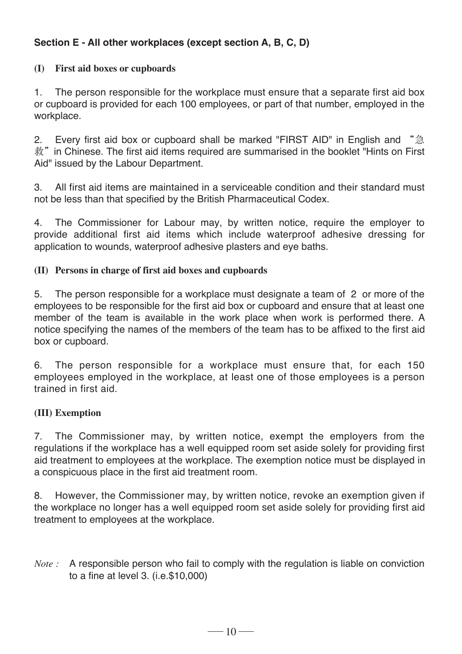#### **Section E - All other workplaces (except section A, B, C, D)**

#### **(I) First aid boxes or cupboards**

1. The person responsible for the workplace must ensure that a separate first aid box or cupboard is provided for each 100 employees, or part of that number, employed in the workplace.

2. Every first aid box or cupboard shall be marked "FIRST AID" in English and "急 救"in Chinese. The first aid items required are summarised in the booklet "Hints on First Aid" issued by the Labour Department.

3. All first aid items are maintained in a serviceable condition and their standard must not be less than that specified by the British Pharmaceutical Codex.

4. The Commissioner for Labour may, by written notice, require the employer to provide additional first aid items which include waterproof adhesive dressing for application to wounds, waterproof adhesive plasters and eye baths.

#### **(II) Persons in charge of first aid boxes and cupboards**

5. The person responsible for a workplace must designate a team of 2 or more of the employees to be responsible for the first aid box or cupboard and ensure that at least one member of the team is available in the work place when work is performed there. A notice specifying the names of the members of the team has to be affixed to the first aid box or cupboard.

6. The person responsible for a workplace must ensure that, for each 150 employees employed in the workplace, at least one of those employees is a person trained in first aid.

#### **(III) Exemption**

7. The Commissioner may, by written notice, exempt the employers from the regulations if the workplace has a well equipped room set aside solely for providing first aid treatment to employees at the workplace. The exemption notice must be displayed in a conspicuous place in the first aid treatment room.

8. However, the Commissioner may, by written notice, revoke an exemption given if the workplace no longer has a well equipped room set aside solely for providing first aid treatment to employees at the workplace.

*Note* : A responsible person who fail to comply with the regulation is liable on conviction to a fine at level 3. (i.e.\$10,000)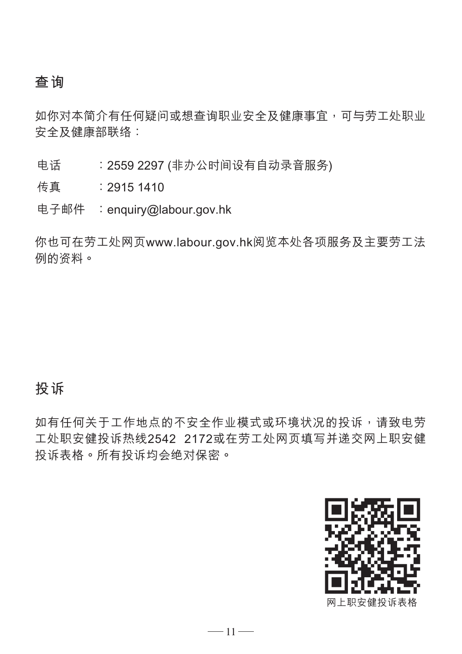## **查詢**

如你对本简介有任何疑问或想查询职业安全及健康事宜,可与劳工处职业 安全及健康部聯絡:

电话 : 2559 2297 (非办公时间设有自动录音服务)

傳真 :2915 1410

电子邮件 : enquiry@labour.gov.hk

你也可在勞工處網頁www.labour.gov.hk閱覽本處各項服務及主要勞工法 例的資料。

## **投訴**

如有任何关于工作地点的不安全作业模式或环境状况的投诉,请致电劳 工处职安健投诉热线2542 2172或在劳工处网页填写并递交网上职安健 投诉表格。所有投诉均会绝对保密。

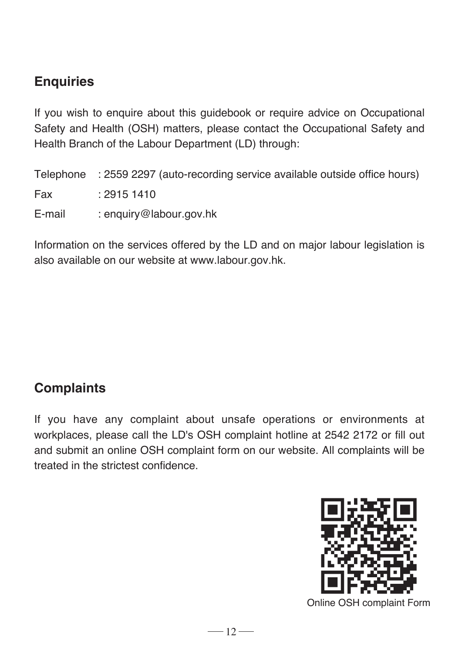# **Enquiries**

If you wish to enquire about this guidebook or require advice on Occupational Safety and Health (OSH) matters, please contact the Occupational Safety and Health Branch of the Labour Department (LD) through:

Telephone : 2559 2297 (auto-recording service available outside office hours) Fax : 2915 1410 E-mail : enquiry@labour.gov.hk

Information on the services offered by the LD and on major labour legislation is also available on our website at www.labour.gov.hk.

## **Complaints**

If you have any complaint about unsafe operations or environments at workplaces, please call the LD's OSH complaint hotline at 2542 2172 or fill out and submit an online OSH complaint form on our website. All complaints will be treated in the strictest confidence.